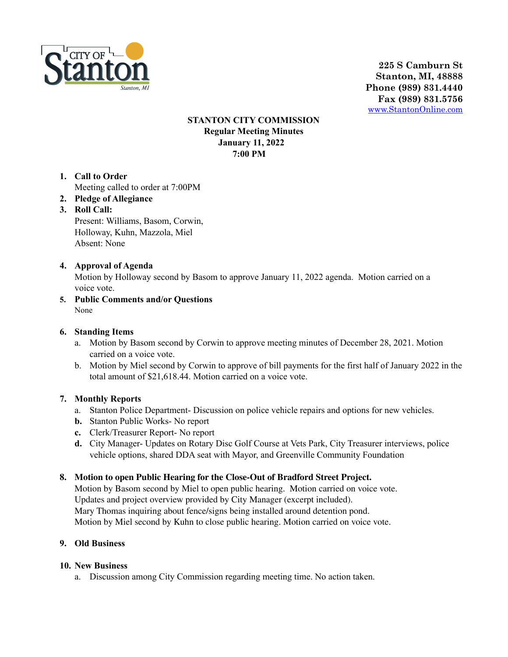

**225 S Camburn St Stanton, MI, 48888 Phone (989) 831.4440 Fax (989) 831.5756** [www.StantonOnline.com](http://www.stantononline.com)

### **STANTON CITY COMMISSION Regular Meeting Minutes January 11, 2022 7:00 PM**

- **1. Call to Order** Meeting called to order at 7:00PM
- **2. Pledge of Allegiance**
- **3. Roll Call:**

Present: Williams, Basom, Corwin, Holloway, Kuhn, Mazzola, Miel Absent: None

# **4. Approval of Agenda**

Motion by Holloway second by Basom to approve January 11, 2022 agenda. Motion carried on a voice vote.

**5. Public Comments and/or Questions** None

### **6. Standing Items**

- a. Motion by Basom second by Corwin to approve meeting minutes of December 28, 2021. Motion carried on a voice vote.
- b. Motion by Miel second by Corwin to approve of bill payments for the first half of January 2022 in the total amount of \$21,618.44. Motion carried on a voice vote.

#### **7. Monthly Reports**

- a. Stanton Police Department- Discussion on police vehicle repairs and options for new vehicles.
- **b.** Stanton Public Works- No report
- **c.** Clerk/Treasurer Report- No report
- **d.** City Manager- Updates on Rotary Disc Golf Course at Vets Park, City Treasurer interviews, police vehicle options, shared DDA seat with Mayor, and Greenville Community Foundation

#### **8. Motion to open Public Hearing for the Close-Out of Bradford Street Project.**

Motion by Basom second by Miel to open public hearing. Motion carried on voice vote. Updates and project overview provided by City Manager (excerpt included). Mary Thomas inquiring about fence/signs being installed around detention pond. Motion by Miel second by Kuhn to close public hearing. Motion carried on voice vote.

#### **9. Old Business**

#### **10. New Business**

a. Discussion among City Commission regarding meeting time. No action taken.